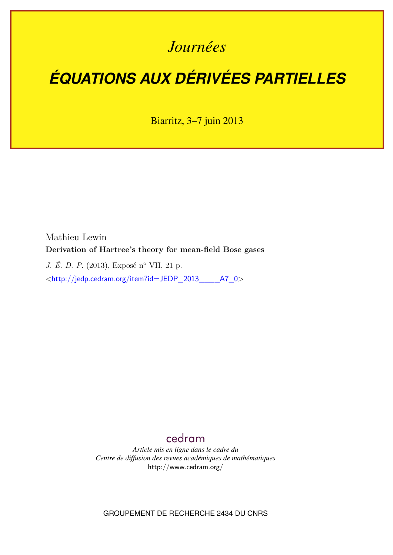# *Journées*

# *ÉQUATIONS AUX DÉRIVÉES PARTIELLES*

Biarritz, 3–7 juin 2013

Mathieu Lewin **Derivation of Hartree's theory for mean-field Bose gases**

*J. É. D. P.* (2013), Exposé n<sup>o</sup> VII, 21 p.

<[http://jedp.cedram.org/item?id=JEDP\\_2013\\_\\_\\_\\_A7\\_0](http://jedp.cedram.org/item?id=JEDP_2013____A7_0)>

# [cedram](http://www.cedram.org/)

*Article mis en ligne dans le cadre du Centre de diffusion des revues académiques de mathématiques* <http://www.cedram.org/>

GROUPEMENT DE RECHERCHE 2434 DU CNRS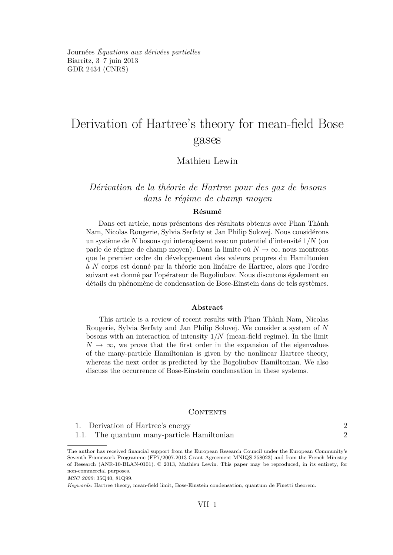Journées *Équations aux dérivées partielles* Biarritz, 3–7 juin 2013 GDR 2434 [\(CNRS\)](http://www.cnrs.fr)

# Derivation of Hartree's theory for mean-field Bose gases

## Mathieu Lewin

## *Dérivation de la théorie de Hartree pour des gaz de bosons dans le régime de champ moyen*

#### **Résumé**

Dans cet article, nous présentons des résultats obtenus avec Phan Thành Nam, Nicolas Rougerie, Sylvia Serfaty et Jan Philip Solovej. Nous considérons un système de *N* bosons qui interagissent avec un potentiel d'intensité 1*/N* (on parle de régime de champ moyen). Dans la limite où *N* → ∞, nous montrons que le premier ordre du développement des valeurs propres du Hamiltonien à *N* corps est donné par la théorie non linéaire de Hartree, alors que l'ordre suivant est donné par l'opérateur de Bogoliubov. Nous discutons également en détails du phénomène de condensation de Bose-Einstein dans de tels systèmes.

#### **Abstract**

This article is a review of recent results with Phan Thành Nam, Nicolas Rougerie, Sylvia Serfaty and Jan Philip Solovej. We consider a system of *N* bosons with an interaction of intensity 1*/N* (mean-field regime). In the limit  $N \to \infty$ , we prove that the first order in the expansion of the eigenvalues of the many-particle Hamiltonian is given by the nonlinear Hartree theory, whereas the next order is predicted by the Bogoliubov Hamiltonian. We also discuss the occurrence of Bose-Einstein condensation in these systems.

#### CONTENTS

|  | 1. Derivation of Hartree's energy |  |
|--|-----------------------------------|--|
|--|-----------------------------------|--|

[1.1. The quantum many-particle Hamiltonian](#page-2-0) 2

*MSC 2000:* 35Q40, 81Q99.

The author has received financial support from the European Research Council under the European Community's Seventh Framework Programme (FP7/2007-2013 Grant Agreement MNIQS 258023) and from the French Ministry of Research (ANR-10-BLAN-0101). © 2013, Mathieu Lewin. This paper may be reproduced, in its entirety, for non-commercial purposes.

*Keywords:* Hartree theory, mean-field limit, Bose-Einstein condensation, quantum de Finetti theorem.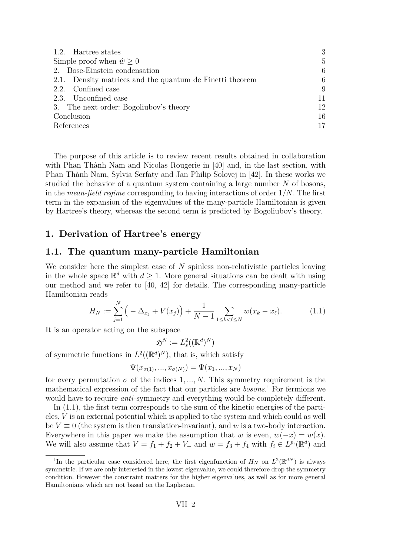<span id="page-2-0"></span>

| 1.2. Hartree states                                      | 3            |
|----------------------------------------------------------|--------------|
| Simple proof when $\hat{w} > 0$                          | $\mathbf{5}$ |
| 2. Bose-Einstein condensation                            | 6            |
| 2.1. Density matrices and the quantum de Finetti theorem | 6            |
| 2.2. Confined case                                       | 9            |
| 2.3. Unconfined case                                     | 11           |
| 3. The next order: Bogoliubov's theory                   | 12           |
| Conclusion                                               |              |
| References                                               |              |

The purpose of this article is to review recent results obtained in collaboration with Phan Thành Nam and Nicolas Rougerie in [\[40\]](#page-19-0) and, in the last section, with Phan Thành Nam, Sylvia Serfaty and Jan Philip Solovej in [\[42\]](#page-19-0). In these works we studied the behavior of a quantum system containing a large number *N* of bosons, in the *mean-field regime* corresponding to having interactions of order 1*/N*. The first term in the expansion of the eigenvalues of the many-particle Hamiltonian is given by Hartree's theory, whereas the second term is predicted by Bogoliubov's theory.

## **1. Derivation of Hartree's energy**

#### **1.1. The quantum many-particle Hamiltonian**

We consider here the simplest case of *N* spinless non-relativistic particles leaving in the whole space  $\mathbb{R}^d$  with  $d \geq 1$ . More general situations can be dealt with using our method and we refer to [\[40,](#page-19-0) [42\]](#page-19-0) for details. The corresponding many-particle Hamiltonian reads

$$
H_N := \sum_{j=1}^N \left( -\Delta_{x_j} + V(x_j) \right) + \frac{1}{N-1} \sum_{1 \le k < \ell \le N} w(x_k - x_\ell). \tag{1.1}
$$

It is an operator acting on the subspace

$$
\mathfrak{H}^N:=L^2_s((\mathbb{R}^d)^N)
$$

of symmetric functions in  $L^2((\mathbb{R}^d)^N)$ , that is, which satisfy

$$
\Psi(x_{\sigma(1)},...,x_{\sigma(N)}) = \Psi(x_1,...,x_N)
$$

for every permutation  $\sigma$  of the indices 1, ..., N. This symmetry requirement is the mathematical expression of the fact that our particles are *bosons*. <sup>1</sup> For fermions we would have to require *anti*-symmetry and everything would be completely different.

In (1.1), the first term corresponds to the sum of the kinetic energies of the particles, *V* is an external potential which is applied to the system and which could as well be  $V \equiv 0$  (the system is then translation-invariant), and w is a two-body interaction. Everywhere in this paper we make the assumption that *w* is even,  $w(-x) = w(x)$ . We will also assume that  $V = f_1 + f_2 + V_+$  and  $w = f_3 + f_4$  with  $f_i \in L^{p_i}(\mathbb{R}^d)$  and

<sup>&</sup>lt;sup>1</sup>In the particular case considered here, the first eigenfunction of  $H_N$  on  $L^2(\mathbb{R}^{dN})$  is always symmetric. If we are only interested in the lowest eigenvalue, we could therefore drop the symmetry condition. However the constraint matters for the higher eigenvalues, as well as for more general Hamiltonians which are not based on the Laplacian.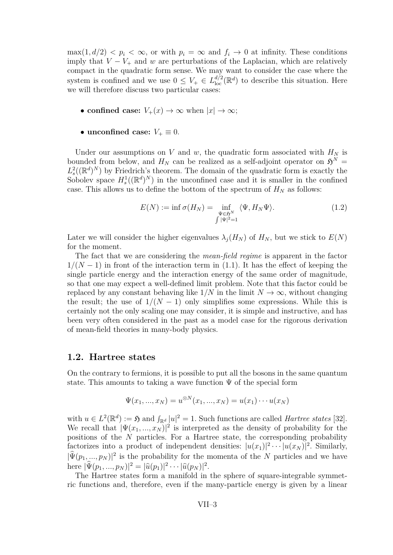<span id="page-3-0"></span> $\max(1, d/2) < p_i < \infty$ , or with  $p_i = \infty$  and  $f_i \to 0$  at infinity. These conditions imply that  $V - V_+$  and  $w$  are perturbations of the Laplacian, which are relatively compact in the quadratic form sense. We may want to consider the case where the system is confined and we use  $0 \leq V_+ \in L^{d/2}_{loc}(\mathbb{R}^d)$  to describe this situation. Here we will therefore discuss two particular cases:

- **confined case:**  $V_+(x) \to \infty$  when  $|x| \to \infty$ ;
- unconfined case:  $V_+ \equiv 0$ .

Under our assumptions on *V* and *w*, the quadratic form associated with  $H_N$  is bounded from below, and  $H_N$  can be realized as a self-adjoint operator on  $\mathfrak{H}^N$  =  $L_s^2((\mathbb{R}^d)^N)$  by Friedrich's theorem. The domain of the quadratic form is exactly the Sobolev space  $H_s^1((\mathbb{R}^d)^N)$  in the unconfined case and it is smaller in the confined case. This allows us to define the bottom of the spectrum of  $H_N$  as follows:

$$
E(N) := \inf \sigma(H_N) = \inf_{\substack{\Psi \in \mathfrak{H}^N \\ \int |\Psi|^2 = 1}} \langle \Psi, H_N \Psi \rangle.
$$
 (1.2)

Later we will consider the higher eigenvalues  $\lambda_j(H_N)$  of  $H_N$ , but we stick to  $E(N)$ for the moment.

The fact that we are considering the *mean-field regime* is apparent in the factor  $1/(N-1)$  in front of the interaction term in [\(1.1\)](#page-2-0). It has the effect of keeping the single particle energy and the interaction energy of the same order of magnitude, so that one may expect a well-defined limit problem. Note that this factor could be replaced by any constant behaving like  $1/N$  in the limit  $N \to \infty$ , without changing the result; the use of  $1/(N-1)$  only simplifies some expressions. While this is certainly not the only scaling one may consider, it is simple and instructive, and has been very often considered in the past as a model case for the rigorous derivation of mean-field theories in many-body physics.

#### **1.2. Hartree states**

On the contrary to fermions, it is possible to put all the bosons in the same quantum state. This amounts to taking a wave function  $\Psi$  of the special form

$$
\Psi(x_1, ..., x_N) = u^{\otimes N}(x_1, ..., x_N) = u(x_1) \cdots u(x_N)
$$

with  $u \in L^2(\mathbb{R}^d) := \mathfrak{H}$  and  $\int_{\mathbb{R}^d} |u|^2 = 1$ . Such functions are called *Hartree states* [\[32\]](#page-19-0). We recall that  $|\Psi(x_1, ..., x_N)|^2$  is interpreted as the density of probability for the positions of the *N* particles. For a Hartree state, the corresponding probability factorizes into a product of independent densities:  $|u(x_1)|^2 \cdots |u(x_N)|^2$ . Similarly,  $|\hat{\Psi}(p_1,...,p_N)|^2$  is the probability for the momenta of the *N* particles and we have  $\text{here } |\hat{\Psi}(p_1, ..., p_N)|^2 = |\hat{u}(p_1)|^2 \cdots |\hat{u}(p_N)|^2.$ 

The Hartree states form a manifold in the sphere of square-integrable symmetric functions and, therefore, even if the many-particle energy is given by a linear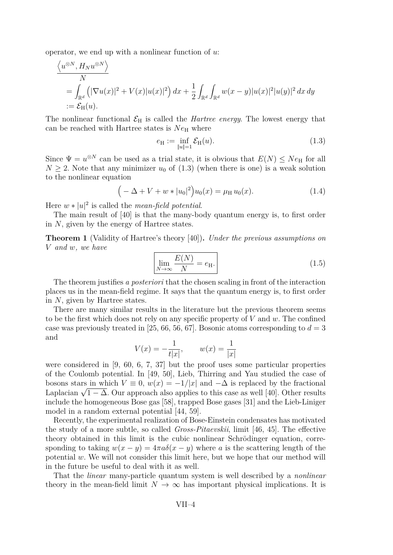<span id="page-4-0"></span>operator, we end up with a nonlinear function of *u*:

$$
\frac{\langle u^{\otimes N}, H_N u^{\otimes N} \rangle}{N}
$$
  
= 
$$
\int_{\mathbb{R}^d} \left( |\nabla u(x)|^2 + V(x)|u(x)|^2 \right) dx + \frac{1}{2} \int_{\mathbb{R}^d} \int_{\mathbb{R}^d} w(x-y)|u(x)|^2 |u(y)|^2 dx dy
$$
  
:= 
$$
\mathcal{E}_H(u).
$$

The nonlinear functional  $\mathcal{E}_{H}$  is called the *Hartree energy*. The lowest energy that can be reached with Hartree states is  $Ne_{\rm H}$  where

$$
e_{\mathcal{H}} := \inf_{\|u\|=1} \mathcal{E}_{\mathcal{H}}(u). \tag{1.3}
$$

Since  $\Psi = u^{\otimes N}$  can be used as a trial state, it is obvious that  $E(N) \leq Ne_{\rm H}$  for all  $N \geq 2$ . Note that any minimizer  $u_0$  of (1.3) (when there is one) is a weak solution to the nonlinear equation

$$
(-\Delta + V + w * |u_0|^2)u_0(x) = \mu_H u_0(x).
$$
 (1.4)

Here  $w * |u|^2$  is called the *mean-field potential*.

The main result of [\[40\]](#page-19-0) is that the many-body quantum energy is, to first order in *N*, given by the energy of Hartree states.

**Theorem 1** (Validity of Hartree's theory [\[40\]](#page-19-0))**.** *Under the previous assumptions on V and w, we have*

$$
\lim_{N \to \infty} \frac{E(N)}{N} = e_{\rm H}.\tag{1.5}
$$

The theorem justifies *a posteriori* that the chosen scaling in front of the interaction places us in the mean-field regime. It says that the quantum energy is, to first order in *N*, given by Hartree states.

There are many similar results in the literature but the previous theorem seems to be the first which does not rely on any specific property of *V* and *w*. The confined case was previously treated in [\[25,](#page-18-0) [66,](#page-21-0) [56,](#page-20-0) [67\]](#page-21-0). Bosonic atoms corresponding to  $d = 3$ and

$$
V(x) = -\frac{1}{t|x|}, \qquad w(x) = \frac{1}{|x|}
$$

were considered in [\[9,](#page-17-0) [60,](#page-20-0) [6,](#page-17-0) [7,](#page-17-0) [37\]](#page-19-0) but the proof uses some particular properties of the Coulomb potential. In [\[49,](#page-20-0) [50\]](#page-20-0), Lieb, Thirring and Yau studied the case of bosons stars in which  $V \equiv 0$ ,  $w(x) = -1/|x|$  and  $-\Delta$  is replaced by the fractional bosons stars in which  $V = 0$ ,  $w(x) = -1/|x|$  and  $-\Delta$  is replaced by the fractional Laplacian  $\sqrt{1-\Delta}$ . Our approach also applies to this case as well [\[40\]](#page-19-0). Other results include the homogeneous Bose gas [\[58\]](#page-20-0), trapped Bose gases [\[31\]](#page-19-0) and the Lieb-Liniger model in a random external potential [\[44,](#page-19-0) [59\]](#page-20-0).

Recently, the experimental realization of Bose-Einstein condensates has motivated the study of a more subtle, so called *Gross-Pitaevskii*, limit [\[46,](#page-19-0) [45\]](#page-19-0). The effective theory obtained in this limit is the cubic nonlinear Schrödinger equation, corresponding to taking  $w(x - y) = 4\pi a\delta(x - y)$  where *a* is the scattering length of the potential *w*. We will not consider this limit here, but we hope that our method will in the future be useful to deal with it as well.

That the *linear* many-particle quantum system is well described by a *nonlinear* theory in the mean-field limit  $N \to \infty$  has important physical implications. It is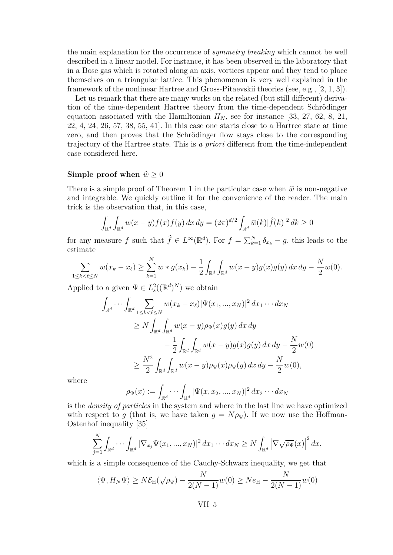<span id="page-5-0"></span>the main explanation for the occurrence of *symmetry breaking* which cannot be well described in a linear model. For instance, it has been observed in the laboratory that in a Bose gas which is rotated along an axis, vortices appear and they tend to place themselves on a triangular lattice. This phenomenon is very well explained in the framework of the nonlinear Hartree and Gross-Pitaevskii theories (see, e.g., [\[2,](#page-17-0) [1,](#page-17-0) [3\]](#page-17-0)).

Let us remark that there are many works on the related (but still different) derivation of the time-dependent Hartree theory from the time-dependent Schrödinger equation associated with the Hamiltonian  $H_N$ , see for instance [\[33,](#page-19-0) [27,](#page-18-0) [62,](#page-20-0) [8,](#page-17-0) [21,](#page-18-0) [22,](#page-18-0) [4,](#page-17-0) [24,](#page-18-0) [26,](#page-18-0) [57,](#page-20-0) [38,](#page-19-0) [55,](#page-20-0) [41\]](#page-19-0). In this case one starts close to a Hartree state at time zero, and then proves that the Schrödinger flow stays close to the corresponding trajectory of the Hartree state. This is *a priori* different from the time-independent case considered here.

#### **Simple proof when**  $\hat{w} \ge 0$

There is a simple proof of Theorem [1](#page-4-0) in the particular case when  $\hat{w}$  is non-negative and integrable. We quickly outline it for the convenience of the reader. The main trick is the observation that, in this case,

$$
\int_{\mathbb{R}^d} \int_{\mathbb{R}^d} w(x - y) f(x) f(y) \, dx \, dy = (2\pi)^{d/2} \int_{\mathbb{R}^d} \widehat{w}(k) |\widehat{f}(k)|^2 \, dk \ge 0
$$

for any measure *f* such that  $\hat{f} \in L^{\infty}(\mathbb{R}^d)$ . For  $f = \sum_{k=1}^N \delta_{x_k} - g$ , this leads to the estimate

$$
\sum_{1 \le k < \ell \le N} w(x_k - x_\ell) \ge \sum_{k=1}^N w * g(x_k) - \frac{1}{2} \int_{\mathbb{R}^d} \int_{\mathbb{R}^d} w(x - y) g(x) g(y) \, dx \, dy - \frac{N}{2} w(0).
$$

Applied to a given  $\Psi \in L^2_s((\mathbb{R}^d)^N)$  we obtain

$$
\int_{\mathbb{R}^d} \cdots \int_{\mathbb{R}^d} \sum_{1 \le k < \ell \le N} w(x_k - x_{\ell}) |\Psi(x_1, ..., x_N)|^2 dx_1 \cdots dx_N
$$
\n
$$
\ge N \int_{\mathbb{R}^d} \int_{\mathbb{R}^d} w(x - y) \rho_{\Psi}(x) g(y) dx dy
$$
\n
$$
- \frac{1}{2} \int_{\mathbb{R}^d} \int_{\mathbb{R}^d} w(x - y) g(x) g(y) dx dy - \frac{N}{2} w(0)
$$
\n
$$
\ge \frac{N^2}{2} \int_{\mathbb{R}^d} \int_{\mathbb{R}^d} w(x - y) \rho_{\Psi}(x) \rho_{\Psi}(y) dx dy - \frac{N}{2} w(0),
$$

where

$$
\rho_{\Psi}(x) := \int_{\mathbb{R}^d} \cdots \int_{\mathbb{R}^d} |\Psi(x, x_2, ..., x_N)|^2 dx_2 \cdots dx_N
$$

is the *density of particles* in the system and where in the last line we have optimized with respect to *g* (that is, we have taken  $g = N \rho_{\Psi}$ ). If we now use the Hoffman-Ostenhof inequality [\[35\]](#page-19-0)

$$
\sum_{j=1}^N \int_{\mathbb{R}^d} \cdots \int_{\mathbb{R}^d} |\nabla_{x_j} \Psi(x_1, ..., x_N)|^2 dx_1 \cdots dx_N \ge N \int_{\mathbb{R}^d} |\nabla \sqrt{\rho_{\Psi}}(x)|^2 dx,
$$

which is a simple consequence of the Cauchy-Schwarz inequality, we get that

$$
\langle \Psi, H_N \Psi \rangle \ge N \mathcal{E}_H(\sqrt{\rho_\Psi}) - \frac{N}{2(N-1)} w(0) \ge N e_H - \frac{N}{2(N-1)} w(0)
$$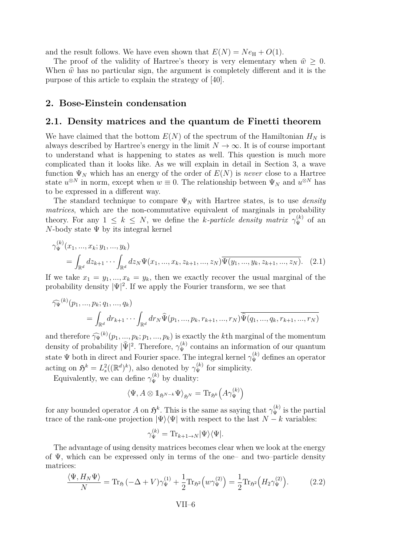<span id="page-6-0"></span>and the result follows. We have even shown that  $E(N) = Ne_{\rm H} + O(1)$ .

The proof of the validity of Hartree's theory is very elementary when  $\hat{w} \geq 0$ . When  $\hat{w}$  has no particular sign, the argument is completely different and it is the purpose of this article to explain the strategy of [\[40\]](#page-19-0).

#### **2. Bose-Einstein condensation**

#### **2.1. Density matrices and the quantum de Finetti theorem**

We have claimed that the bottom  $E(N)$  of the spectrum of the Hamiltonian  $H_N$  is always described by Hartree's energy in the limit  $N \to \infty$ . It is of course important to understand what is happening to states as well. This question is much more complicated than it looks like. As we will explain in detail in Section [3,](#page-12-0) a wave function  $\Psi_N$  which has an energy of the order of  $E(N)$  is *never* close to a Hartree state  $u^{\otimes N}$  in norm, except when  $w \equiv 0$ . The relationship between  $\Psi_N$  and  $u^{\otimes N}$  has to be expressed in a different way.

The standard technique to compare  $\Psi_N$  with Hartree states, is to use *density matrices*, which are the non-commutative equivalent of marginals in probability theory. For any  $1 \leq k \leq N$ , we define the *k*-particle density matrix  $\gamma_{\Psi}^{(k)}$  of an *N*-body state  $\Psi$  by its integral kernel

$$
\gamma_{\Psi}^{(k)}(x_1, ..., x_k; y_1, ..., y_k)
$$
  
= 
$$
\int_{\mathbb{R}^d} dz_{k+1} \cdots \int_{\mathbb{R}^d} dz_N \Psi(x_1, ..., x_k, z_{k+1}, ..., z_N) \overline{\Psi(y_1, ..., y_k, z_{k+1}, ..., z_N)}.
$$
 (2.1)

If we take  $x_1 = y_1, ..., x_k = y_k$ , then we exactly recover the usual marginal of the probability density  $|\Psi|^2$ . If we apply the Fourier transform, we see that

$$
\widehat{\gamma_{\Psi}}^{(k)}(p_1, ..., p_k; q_1, ..., q_k) = \int_{\mathbb{R}^d} dr_{k+1} \cdots \int_{\mathbb{R}^d} dr_N \widehat{\Psi}(p_1, ..., p_k, r_{k+1}, ..., r_N) \overline{\widehat{\Psi}(q_1, ..., q_k, r_{k+1}, ..., r_N)}
$$

and therefore  $\widehat{\gamma_\Psi}^{(k)}(p_1, ..., p_k; p_1, ..., p_k)$  is exactly the *k*<sup>th</sup> marginal of the momentum density of probability  $|\hat{\Psi}|^2$ . Therefore,  $\gamma_{\Psi}^{(k)}$  contains an information of our quantum state  $\Psi$  both in direct and Fourier space. The integral kernel  $\gamma_{\Psi}^{(k)}$  defines an operator acting on  $\mathfrak{H}^k = L^2_s((\mathbb{R}^d)^k)$ , also denoted by  $\gamma_{\Psi}^{(k)}$  for simplicity.

Equivalently, we can define  $\gamma_{\Psi}^{(k)}$  by duality:

$$
\langle \Psi, A \otimes \mathbb{1}_{\mathfrak{H}^{N-k}} \Psi \rangle_{\mathfrak{H}^N} = \mathrm{Tr}_{\mathfrak{H}^k} \Big( A \gamma_{\Psi}^{(k)} \Big)
$$

for any bounded operator *A* on  $\mathfrak{H}^k$ . This is the same as saying that  $\gamma_{\Psi}^{(k)}$  is the partial trace of the rank-one projection  $|\Psi\rangle\langle\Psi|$  with respect to the last  $N - k$  variables:

$$
\gamma_{\Psi}^{(k)} = \text{Tr}_{k+1 \to N} |\Psi\rangle\langle\Psi|.
$$

The advantage of using density matrices becomes clear when we look at the energy of  $\Psi$ , which can be expressed only in terms of the one– and two–particle density matrices:

$$
\frac{\langle \Psi, H_N \Psi \rangle}{N} = \text{Tr}_{\mathfrak{H}} \left( -\Delta + V \right) \gamma_{\Psi}^{(1)} + \frac{1}{2} \text{Tr}_{\mathfrak{H}^2} \left( w \gamma_{\Psi}^{(2)} \right) = \frac{1}{2} \text{Tr}_{\mathfrak{H}^2} \left( H_2 \gamma_{\Psi}^{(2)} \right). \tag{2.2}
$$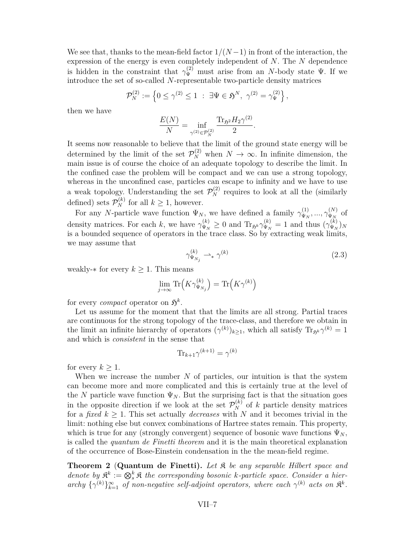<span id="page-7-0"></span>We see that, thanks to the mean-field factor  $1/(N-1)$  in front of the interaction, the expression of the energy is even completely independent of *N*. The *N* dependence is hidden in the constraint that  $\gamma_{\Psi}^{(2)}$  must arise from an *N*-body state  $\Psi$ . If we introduce the set of so-called *N*-representable two-particle density matrices

$$
\mathcal{P}_N^{(2)} := \left\{ 0 \le \gamma^{(2)} \le 1 \; : \; \exists \Psi \in \mathfrak{H}^N, \; \gamma^{(2)} = \gamma_{\Psi}^{(2)} \right\},\,
$$

then we have

$$
\frac{E(N)}{N} = \inf_{\gamma^{(2)} \in \mathcal{P}_N^{(2)}} \frac{\text{Tr}_{\mathfrak{H}^2} H_2 \gamma^{(2)}}{2}.
$$

It seems now reasonable to believe that the limit of the ground state energy will be determined by the limit of the set  $\mathcal{P}_N^{(2)}$  when  $N \to \infty$ . In infinite dimension, the main issue is of course the choice of an adequate topology to describe the limit. In the confined case the problem will be compact and we can use a strong topology, whereas in the unconfined case, particles can escape to infinity and we have to use a weak topology. Understanding the set  $\mathcal{P}_N^{(2)}$  requires to look at all the (similarly defined) sets  $\mathcal{P}_N^{(k)}$  for all  $k \geq 1$ , however.

For any *N*-particle wave function  $\Psi_N$ , we have defined a family  $\gamma_{\Psi_N}^{(1)}$  $\gamma_{\Psi_N}^{(1)},...,\gamma_{\Psi_N}^{(N)}$  $\varphi_N^{(N)}$  of density matrices. For each *k*, we have  $\gamma_{\Psi_N}^{(k)} \ge 0$  and  $\text{Tr}_{\mathfrak{H}^k} \gamma_{\Psi_N}^{(k)} = 1$  and thus  $(\gamma_{\Psi_N}^{(k)})$  $\left(\frac{K}{\Psi_N}\right)_N$ is a bounded sequence of operators in the trace class. So by extracting weak limits, we may assume that

$$
\gamma_{\Psi_{N_j}}^{(k)} \rightharpoonup_* \gamma^{(k)} \tag{2.3}
$$

weakly- $*$  for every  $k \geq 1$ . This means

$$
\lim_{j \to \infty} \text{Tr}\left(K\gamma_{\Psi_{N_j}}^{(k)}\right) = \text{Tr}\left(K\gamma^{(k)}\right)
$$

for every *compact* operator on  $\mathfrak{H}^k$ .

Let us assume for the moment that that the limits are all strong. Partial traces are continuous for the strong topology of the trace-class, and therefore we obtain in the limit an infinite hierarchy of operators  $(\gamma^{(k)})_{k\geq 1}$ , which all satisfy  $\text{Tr}_{\mathfrak{H}^k} \gamma^{(k)} = 1$ and which is *consistent* in the sense that

$$
\text{Tr}_{k+1}\gamma^{(k+1)}=\gamma^{(k)}
$$

for every  $k \geq 1$ .

When we increase the number *N* of particles, our intuition is that the system can become more and more complicated and this is certainly true at the level of the *N* particle wave function  $\Psi_N$ . But the surprising fact is that the situation goes in the opposite direction if we look at the set  $\mathcal{P}_N^{(k)}$  of *k* particle density matrices for a *fixed*  $k > 1$ . This set actually *decreases* with N and it becomes trivial in the limit: nothing else but convex combinations of Hartree states remain. This property, which is true for any (strongly convergent) sequence of bosonic wave functions  $\Psi_N$ , is called the *quantum de Finetti theorem* and it is the main theoretical explanation of the occurrence of Bose-Einstein condensation in the the mean-field regime.

**Theorem 2** (**Quantum de Finetti).** *Let* K *be any separable Hilbert space and denote by*  $\mathbb{R}^k := \otimes_s^k \mathbb{R}$  *the corresponding bosonic k-particle space. Consider a hier-* $\{ \gamma^{(k)} \}_{k=1}^{\infty}$  *of non-negative self-adjoint operators, where each*  $\gamma^{(k)}$  *acts on*  $\mathbb{R}^k$ .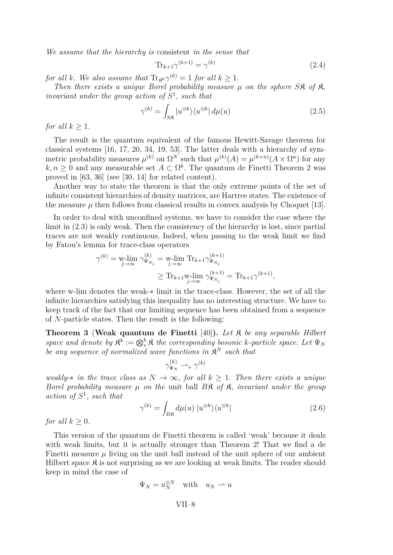<span id="page-8-0"></span>*We assume that the hierarchy is* consistent *in the sense that*

$$
\operatorname{Tr}_{k+1} \gamma^{(k+1)} = \gamma^{(k)} \tag{2.4}
$$

*for all k. We also assume that*  $\text{Tr}_{\mathfrak{K}^k} \gamma^{(k)} = 1$  *for all*  $k \geq 1$ *.* 

*Then there exists a unique Borel probability measure*  $\mu$  *on the sphere S* $\hat{\mathbf{R}}$  *of*  $\hat{\mathbf{R}}$ *, invariant under the group action of*  $S^1$ *, such that* 

$$
\gamma^{(k)} = \int_{S\mathfrak{K}} |u^{\otimes k}\rangle \langle u^{\otimes k} | d\mu(u) \tag{2.5}
$$

*for all*  $k \geq 1$ *.* 

The result is the quantum equivalent of the famous Hewitt-Savage theorem for classical systems [\[16,](#page-18-0) [17,](#page-18-0) [20,](#page-18-0) [34,](#page-19-0) [19,](#page-18-0) [53\]](#page-20-0). The latter deals with a hierarchy of symmetric probability measures  $\mu^{(k)}$  on  $\Omega^N$  such that  $\mu^{(k)}(A) = \mu^{(k+n)}(A \times \Omega^n)$  for any  $k, n \geq 0$  and any measurable set  $A \subset \Omega^k$ . The quantum de Finetti Theorem [2](#page-7-0) was proved in [\[63,](#page-21-0) [36\]](#page-19-0) (see [\[30,](#page-18-0) [14\]](#page-17-0) for related content).

Another way to state the theorem is that the only extreme points of the set of infinite consistent hierarchies of density matrices, are Hartree states. The existence of the measure  $\mu$  then follows from classical results in convex analysis by Choquet [\[13\]](#page-17-0).

In order to deal with unconfined systems, we have to consider the case where the limit in [\(2.3\)](#page-7-0) is only weak. Then the consistency of the hierarchy is lost, since partial traces are not weakly continuous. Indeed, when passing to the weak limit we find by Fatou's lemma for trace-class operators

$$
\gamma^{(k)} = \mathop{\text{w-lim}}_{j \to \infty} \gamma_{\Psi_{N_j}}^{(k)} = \mathop{\text{w-lim}}_{j \to \infty} \text{Tr}_{k+1} \gamma_{\Psi_{N_j}}^{(k+1)}
$$
  

$$
\geq \text{Tr}_{k+1} \mathop{\text{w-lim}}_{j \to \infty} \gamma_{\Psi_{N_j}}^{(k+1)} = \text{Tr}_{k+1} \gamma^{(k+1)},
$$

where w-lim denotes the weak-∗ limit in the trace-class. However, the set of all the infinite hierarchies satisfying this inequality has no interesting structure. We have to keep track of the fact that our limiting sequence has been obtained from a sequence of *N*-particle states. Then the result is the following:

**Theorem 3** (**Weak quantum de Finetti** [\[40\]](#page-19-0)**).** *Let* K *be any separable Hilbert space and denote by*  $\mathbb{R}^k := \bigotimes_s^k \mathbb{R}$  *the corresponding bosonic k-particle space. Let*  $\Psi_N$ *be any sequence of normalized wave functions in* K *<sup>N</sup> such that*

$$
\gamma_{\Psi_N}^{(k)} \rightharpoonup_* \gamma^{(k)}
$$

*weakly-* $*$  *in the trace class as*  $N \to \infty$ *, for all*  $k \geq 1$ *. Then there exists a unique Borel probability measure µ on the* unit ball *B*K *of* K*, invariant under the group action of S* 1 *, such that*

$$
\gamma^{(k)} = \int_{B\mathfrak{K}} d\mu(u) \, |u^{\otimes k}\rangle\langle u^{\otimes k}| \tag{2.6}
$$

*for all*  $k > 0$ *.* 

This version of the quantum de Finetti theorem is called 'weak' because it deals with weak limits, but it is actually stronger than Theorem [2!](#page-7-0) That we find a de Finetti measure  $\mu$  living on the unit ball instead of the unit sphere of our ambient Hilbert space  $\mathfrak K$  is not surprising as we are looking at weak limits. The reader should keep in mind the case of

$$
\Psi_N = u_N^{\otimes N} \quad \text{with} \quad u_N \rightharpoonup u
$$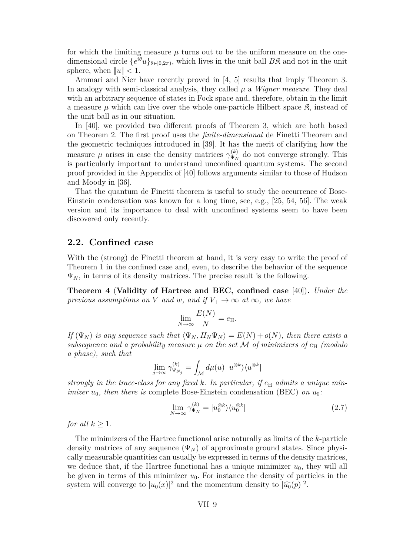<span id="page-9-0"></span>for which the limiting measure  $\mu$  turns out to be the uniform measure on the onedimensional circle  $\{e^{i\theta}u\}_{\theta\in[0,2\pi)}$ , which lives in the unit ball  $B\mathfrak{K}$  and not in the unit sphere, when  $||u|| < 1$ .

Ammari and Nier have recently proved in [\[4,](#page-17-0) [5\]](#page-17-0) results that imply Theorem [3.](#page-8-0) In analogy with semi-classical analysis, they called  $\mu$  a *Wigner measure*. They deal with an arbitrary sequence of states in Fock space and, therefore, obtain in the limit a measure  $\mu$  which can live over the whole one-particle Hilbert space  $\mathcal{R}$ , instead of the unit ball as in our situation.

In [\[40\]](#page-19-0), we provided two different proofs of Theorem [3,](#page-8-0) which are both based on Theorem [2.](#page-7-0) The first proof uses the *finite-dimensional* de Finetti Theorem and the geometric techniques introduced in [\[39\]](#page-19-0). It has the merit of clarifying how the measure  $\mu$  arises in case the density matrices  $\gamma_{\Psi_{\alpha}}^{(k)}$  $\mathcal{L}_{\Psi_N}^{(k)}$  do not converge strongly. This is particularly important to understand unconfined quantum systems. The second proof provided in the Appendix of [\[40\]](#page-19-0) follows arguments similar to those of Hudson and Moody in [\[36\]](#page-19-0).

That the quantum de Finetti theorem is useful to study the occurrence of Bose-Einstein condensation was known for a long time, see, e.g., [\[25,](#page-18-0) [54,](#page-20-0) [56\]](#page-20-0). The weak version and its importance to deal with unconfined systems seem to have been discovered only recently.

#### **2.2. Confined case**

With the (strong) de Finetti theorem at hand, it is very easy to write the proof of Theorem [1](#page-4-0) in the confined case and, even, to describe the behavior of the sequence  $\Psi_N$ , in terms of its density matrices. The precise result is the following.

**Theorem 4** (**Validity of Hartree and BEC, confined case** [\[40\]](#page-19-0))**.** *Under the previous assumptions on V and w, and if*  $V_+ \to \infty$  *at*  $\infty$ *, we have* 

$$
\lim_{N \to \infty} \frac{E(N)}{N} = e_{\mathrm{H}}.
$$

*If*  $(\Psi_N)$  *is any sequence such that*  $\langle \Psi_N, H_N \Psi_N \rangle = E(N) + o(N)$ *, then there exists a subsequence and a probability measure*  $\mu$  *on the set*  $\mathcal{M}$  *of minimizers of*  $e_H$  *(modulo a phase), such that*

$$
\lim_{j \to \infty} \gamma_{\Psi_{N_j}}^{(k)} = \int_{\mathcal{M}} d\mu(u) |u^{\otimes k}\rangle \langle u^{\otimes k}|
$$

*strongly in the trace-class for any fixed k. In particular, if*  $e_H$  *admits a unique minimizer*  $u_0$ *, then there is* complete Bose-Einstein condensation (BEC) *on*  $u_0$ *:* 

$$
\lim_{N \to \infty} \gamma_{\Psi_N}^{(k)} = |u_0^{\otimes k} \rangle \langle u_0^{\otimes k}| \tag{2.7}
$$

*for all*  $k > 1$ *.* 

The minimizers of the Hartree functional arise naturally as limits of the *k*-particle density matrices of any sequence  $(\Psi_N)$  of approximate ground states. Since physically measurable quantities can usually be expressed in terms of the density matrices, we deduce that, if the Hartree functional has a unique minimizer  $u_0$ , they will all be given in terms of this minimizer  $u_0$ . For instance the density of particles in the system will converge to  $|u_0(x)|^2$  and the momentum density to  $|\widehat{u_0}(p)|^2$ .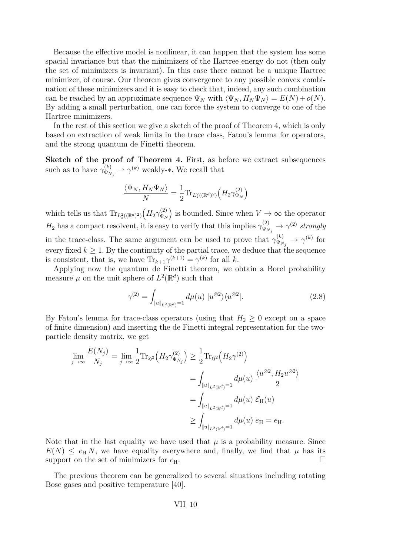Because the effective model is nonlinear, it can happen that the system has some spacial invariance but that the minimizers of the Hartree energy do not (then only the set of minimizers is invariant). In this case there cannot be a unique Hartree minimizer, of course. Our theorem gives convergence to any possible convex combination of these minimizers and it is easy to check that, indeed, any such combination can be reached by an approximate sequence  $\Psi_N$  with  $\langle \Psi_N, H_N \Psi_N \rangle = E(N) + o(N)$ . By adding a small perturbation, one can force the system to converge to one of the Hartree minimizers.

In the rest of this section we give a sketch of the proof of Theorem [4,](#page-9-0) which is only based on extraction of weak limits in the trace class, Fatou's lemma for operators, and the strong quantum de Finetti theorem.

**Sketch of the proof of Theorem [4.](#page-9-0)** First, as before we extract subsequences such as to have  $\gamma_{\Psi_N}^{(k)}$  $\mathcal{L}_{\Psi_{N_j}}^{(k)} \to \gamma^{(k)}$  weakly- $*$ . We recall that

$$
\frac{\langle \Psi_N, H_N \Psi_N \rangle}{N} = \frac{1}{2} \text{Tr}_{L_s^2((\mathbb{R}^d)^2)} \Big( H_2 \gamma_{\Psi_N}^{(2)} \Big)
$$

which tells us that  $\text{Tr}_{L^2_s((\mathbb{R}^d)^2)}\left(H_2\gamma_{\Psi_N}^{(2)}\right)$  $\begin{bmatrix} (2) \\ \Psi_N \end{bmatrix}$  is bounded. Since when  $V \to \infty$  the operator  $H_2$  has a compact resolvent, it is easy to verify that this implies  $\gamma_{\Psi_{\Lambda}}^{(2)}$  $\widetilde{\Psi}_{N_j}^{(2)} \rightarrow \gamma^{(2)}$  *strongly* in the trace-class. The same argument can be used to prove that  $\gamma_{\Psi_{\lambda}}^{(k)}$  $\widetilde{\Psi}_{N_j}^{(k)} \to \gamma^{(k)}$  for every fixed  $k \geq 1$ . By the continuity of the partial trace, we deduce that the sequence is consistent, that is, we have  $\text{Tr}_{k+1}\gamma^{(k+1)} = \gamma^{(k)}$  for all *k*.

Applying now the quantum de Finetti theorem, we obtain a Borel probability measure  $\mu$  on the unit sphere of  $L^2(\mathbb{R}^d)$  such that

$$
\gamma^{(2)} = \int_{\|u\|_{L^2(\mathbb{R}^d)}=1} d\mu(u) \, |u^{\otimes 2}\rangle \langle u^{\otimes 2}|. \tag{2.8}
$$

By Fatou's lemma for trace-class operators (using that  $H_2 \geq 0$  except on a space of finite dimension) and inserting the de Finetti integral representation for the twoparticle density matrix, we get

$$
\lim_{j \to \infty} \frac{E(N_j)}{N_j} = \lim_{j \to \infty} \frac{1}{2} \text{Tr}_{\mathfrak{H}^2} \Big( H_2 \gamma_{\Psi_{N_j}}^{(2)} \Big) \ge \frac{1}{2} \text{Tr}_{\mathfrak{H}^2} \Big( H_2 \gamma^{(2)} \Big)
$$
\n
$$
= \int_{\|u\|_{L^2(\mathbb{R}^d)} = 1} d\mu(u) \frac{\langle u^{\otimes 2}, H_2 u^{\otimes 2} \rangle}{2}
$$
\n
$$
= \int_{\|u\|_{L^2(\mathbb{R}^d)} = 1} d\mu(u) \mathcal{E}_{\mathcal{H}}(u)
$$
\n
$$
\ge \int_{\|u\|_{L^2(\mathbb{R}^d)} = 1} d\mu(u) \, e_{\mathcal{H}} = e_{\mathcal{H}}.
$$

Note that in the last equality we have used that  $\mu$  is a probability measure. Since  $E(N) \leq e_H N$ , we have equality everywhere and, finally, we find that  $\mu$  has its support on the set of minimizers for  $e_H$ .

The previous theorem can be generalized to several situations including rotating Bose gases and positive temperature [\[40\]](#page-19-0).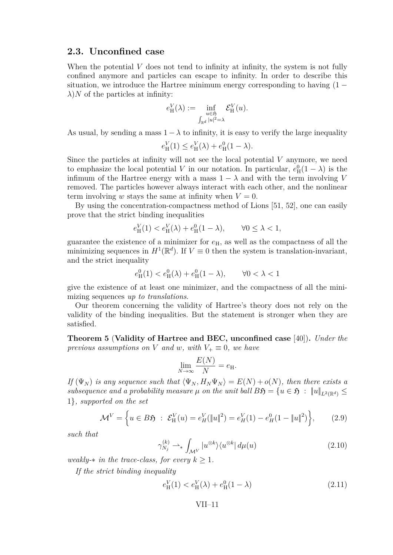## <span id="page-11-0"></span>**2.3. Unconfined case**

When the potential *V* does not tend to infinity at infinity, the system is not fully confined anymore and particles can escape to infinity. In order to describe this situation, we introduce the Hartree minimum energy corresponding to having  $(1 \lambda$ )*N* of the particles at infinity:

$$
e^V_H(\lambda):=\inf_{\substack{u\in \mathfrak{H}\\ \int_{\mathbb{R}^d}|u|^2=\lambda}} \mathcal{E}^V_H(u).
$$

As usual, by sending a mass  $1 - \lambda$  to infinity, it is easy to verify the large inequality

$$
e_{\rm H}^{V}(1) \le e_{\rm H}^{V}(\lambda) + e_{\rm H}^{0}(1-\lambda).
$$

Since the particles at infinity will not see the local potential *V* anymore, we need to emphasize the local potential *V* in our notation. In particular,  $e_H^0(1 - \lambda)$  is the infimum of the Hartree energy with a mass  $1 - \lambda$  and with the term involving *V* removed. The particles however always interact with each other, and the nonlinear term involving *w* stays the same at infinity when  $V = 0$ .

By using the concentration-compactness method of Lions [\[51,](#page-20-0) [52\]](#page-20-0), one can easily prove that the strict binding inequalities

$$
e_H^V(1) < e_H^V(\lambda) + e_H^0(1 - \lambda), \qquad \forall 0 \le \lambda < 1,
$$

guarantee the existence of a minimizer for  $e_H$ , as well as the compactness of all the minimizing sequences in  $H^1(\mathbb{R}^d)$ . If  $V \equiv 0$  then the system is translation-invariant, and the strict inequality

$$
e_H^0(1) < e_H^0(\lambda) + e_H^0(1 - \lambda), \qquad \forall 0 < \lambda < 1
$$

give the existence of at least one minimizer, and the compactness of all the minimizing sequences *up to translations*.

Our theorem concerning the validity of Hartree's theory does not rely on the validity of the binding inequalities. But the statement is stronger when they are satisfied.

**Theorem 5** (**Validity of Hartree and BEC, unconfined case** [\[40\]](#page-19-0))**.** *Under the previous assumptions on V and w, with*  $V_+ \equiv 0$ *, we have* 

$$
\lim_{N \to \infty} \frac{E(N)}{N} = e_{\mathrm{H}}.
$$

*If*  $(\Psi_N)$  *is any sequence such that*  $\langle \Psi_N, H_N \Psi_N \rangle = E(N) + o(N)$ , then there exists a *subsequence and a probability measure*  $\mu$  *on the unit ball*  $B\mathfrak{H} = \{u \in \mathfrak{H} : \|u\|_{L^2(\mathbb{R}^d)} \leq$ 1}*, supported on the set*

$$
\mathcal{M}^V = \left\{ u \in B\mathfrak{H} \ : \ \mathcal{E}^V_H(u) = e^V_H(\|u\|^2) = e^V_H(1) - e^0_H(1 - \|u\|^2) \right\},\tag{2.9}
$$

*such that*

$$
\gamma_{N_j}^{(k)} \rightharpoonup_* \int_{\mathcal{M}^V} |u^{\otimes k} \rangle \langle u^{\otimes k} | d\mu(u) \tag{2.10}
$$

*weakly-* $*$  *in the trace-class, for every*  $k \geq 1$ *.* 

*If the strict binding inequality*

$$
e_{\rm H}^{V}(1) < e_{\rm H}^{V}(\lambda) + e_{\rm H}^{0}(1-\lambda) \tag{2.11}
$$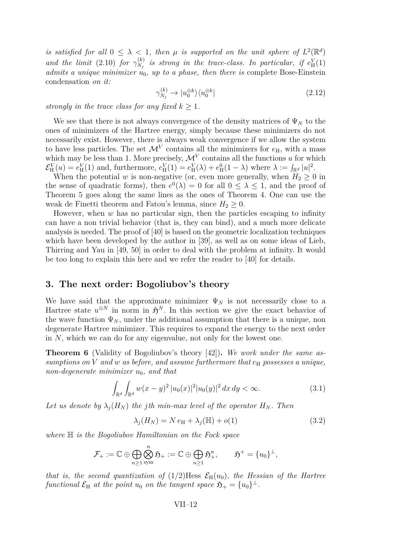<span id="page-12-0"></span>*is satisfied for all*  $0 \leq \lambda < 1$ , then  $\mu$  *is supported on the unit sphere of*  $L^2(\mathbb{R}^d)$ *and the limit* [\(2.10\)](#page-11-0) *for*  $\gamma_{N_i}^{(k)}$  $N_j^{(k)}$  is strong in the trace-class. In particular, if  $e^V_H(1)$ *admits a unique minimizer*  $\dot{u}_0$ *, up to a phase, then there is complete Bose-Einstein* condensation *on it:*

$$
\gamma_{N_j}^{(k)} \to |u_0^{\otimes k}\rangle\langle u_0^{\otimes k}| \tag{2.12}
$$

*strongly in the trace class for any fixed*  $k > 1$ *.* 

We see that there is not always convergence of the density matrices of  $\Psi_N$  to the ones of minimizers of the Hartree energy, simply because these minimizers do not necessarily exist. However, there is always weak convergence if we allow the system to have less particles. The set  $\mathcal{M}^V$  contains all the minimizers for  $e_H$ , with a mass which may be less than 1. More precisely,  $\mathcal{M}^V$  contains all the functions *u* for which  $\mathcal{E}_{\text{H}}^{V}(u) = e_{\text{H}}^{V}(1)$  and, furthermore,  $e_{\text{H}}^{V}(1) = e_{\text{H}}^{V}(\lambda) + e_{\text{H}}^{0}(1 - \lambda)$  where  $\lambda := \int_{\mathbb{R}^{d}} |u|^{2}$ .

When the potential *w* is non-negative (or, even more generally, when  $H_2 \geq 0$  in the sense of quadratic forms), then  $e^{0}(\lambda) = 0$  for all  $0 \leq \lambda \leq 1$ , and the proof of Theorem [5](#page-11-0) goes along the same lines as the ones of Theorem [4.](#page-9-0) One can use the weak de Finetti theorem and Fatou's lemma, since  $H_2 \geq 0$ .

However, when *w* has no particular sign, then the particles escaping to infinity can have a non trivial behavior (that is, they can bind), and a much more delicate analysis is needed. The proof of [\[40\]](#page-19-0) is based on the geometric localization techniques which have been developed by the author in [\[39\]](#page-19-0), as well as on some ideas of Lieb, Thirring and Yau in [\[49,](#page-20-0) [50\]](#page-20-0) in order to deal with the problem at infinity. It would be too long to explain this here and we refer the reader to [\[40\]](#page-19-0) for details.

#### **3. The next order: Bogoliubov's theory**

We have said that the approximate minimizer  $\Psi_N$  is not necessarily close to a Hartree state  $u^{\otimes N}$  in norm in  $\mathfrak{H}^{N}$ . In this section we give the exact behavior of the wave function  $\Psi_N$ , under the additional assumption that there is a unique, non degenerate Hartree minimizer. This requires to expand the energy to the next order in *N*, which we can do for any eigenvalue, not only for the lowest one.

**Theorem 6** (Validity of Bogoliubov's theory [\[42\]](#page-19-0))**.** *We work under the same assumptions on V and w as before, and assume furthermore that*  $e_H$  *possesses a unique, non-degenerate minimizer*  $u_0$ *, and that* 

$$
\int_{\mathbb{R}^d} \int_{\mathbb{R}^d} w(x - y)^2 |u_0(x)|^2 |u_0(y)|^2 dx dy < \infty.
$$
 (3.1)

Let us denote by  $\lambda_j(H_N)$  the *j*th min-max level of the operator  $H_N$ . Then

$$
\lambda_j(H_N) = N e_H + \lambda_j(\mathbb{H}) + o(1)
$$
\n(3.2)

*where* H *is the Bogoliubov Hamiltonian on the Fock space*

$$
\mathcal{F}_+:=\mathbb{C}\oplus\bigoplus_{n\geq 1}\bigotimes_{\mathrm{sym}}^n\mathfrak{H}_+:=\mathbb{C}\oplus\bigoplus_{n\geq 1}\mathfrak{H}_+^n,\qquad \mathfrak{H}^+=\{u_0\}^\perp,
$$

*that is, the second quantization of*  $(1/2)$ Hess  $\mathcal{E}_{H}(u_{0})$ *, the Hessian of the Hartree*  $\mathcal{E}_{\text{H}}$  *at the point*  $u_0$  *on the tangent space*  $\mathfrak{H}_+ = \{u_0\}^{\perp}$ *.*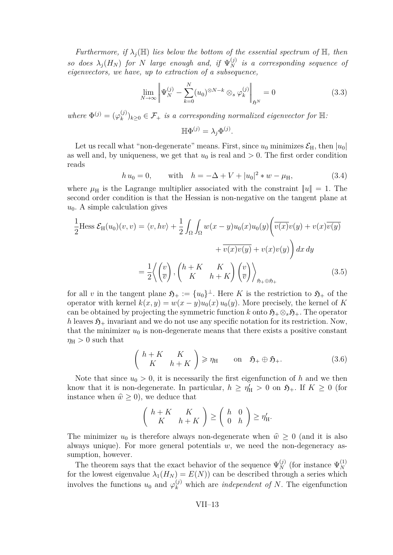*Furthermore, if*  $\lambda_i(\mathbb{H})$  *lies below the bottom of the essential spectrum of*  $\mathbb{H}$ *, then so does*  $\lambda_j(H_N)$  *for N large enough and, if*  $\Psi_N^{(j)}$  *is a corresponding sequence of eigenvectors, we have, up to extraction of a subsequence,*

$$
\lim_{N \to \infty} \left\| \Psi_N^{(j)} - \sum_{k=0}^N (u_0)^{\otimes N - k} \otimes_s \varphi_k^{(j)} \right\|_{\mathfrak{H}^N} = 0 \tag{3.3}
$$

*where*  $\Phi^{(j)} = (\varphi_k^{(j)})$  $(k)$ <sub>k</sub> $(k)$ <sub>k</sub> $\geq 0 \in \mathcal{F}_+$  *is a corresponding normalized eigenvector for*  $\mathbb{H}$ .

$$
\mathbb{H}\Phi^{(j)}=\lambda_j\Phi^{(j)}.
$$

Let us recall what "non-degenerate" means. First, since  $u_0$  minimizes  $\mathcal{E}_{H}$ , then  $|u_0|$ as well and, by uniqueness, we get that  $u_0$  is real and  $> 0$ . The first order condition reads

$$
h u_0 = 0,
$$
 with  $h = -\Delta + V + |u_0|^2 * w - \mu_H,$  (3.4)

where  $\mu_H$  is the Lagrange multiplier associated with the constraint  $||u|| = 1$ . The second order condition is that the Hessian is non-negative on the tangent plane at  $u_0$ . A simple calculation gives

$$
\frac{1}{2} \text{Hess } \mathcal{E}_{H}(u_{0})(v,v) = \langle v, hv \rangle + \frac{1}{2} \int_{\Omega} \int_{\Omega} w(x-y)u_{0}(x)u_{0}(y) \left( \overline{v(x)}v(y) + v(x)\overline{v(y)} + \overline{v(x)}v(y) + v(x)v(y) \right) dx dy
$$

$$
= \frac{1}{2} \left\langle \left( \frac{v}{v} \right), \left( \begin{array}{cc} h+K & K \\ K & h+K \end{array} \right) \left( \frac{v}{v} \right) \right\rangle_{\mathfrak{H}_{+} \oplus \mathfrak{H}_{+}} (3.5)
$$

for all *v* in the tangent plane  $\mathfrak{H}_+ := \{u_0\}^{\perp}$ . Here *K* is the restriction to  $\mathfrak{H}_+$  of the operator with kernel  $k(x, y) = w(x - y)u_0(x)u_0(y)$ . More precisely, the kernel of *K* can be obtained by projecting the symmetric function *k* onto  $\mathfrak{H}_+\otimes_s\mathfrak{H}_+$ . The operator *h* leaves  $\mathfrak{H}_+$  invariant and we do not use any specific notation for its restriction. Now, that the minimizer  $u_0$  is non-degenerate means that there exists a positive constant  $\eta_{\rm H} > 0$  such that

$$
\begin{pmatrix} h+K & K \\ K & h+K \end{pmatrix} \ge \eta_{\rm H} \qquad \text{on} \quad \mathfrak{H}_{+} \oplus \mathfrak{H}_{+}. \tag{3.6}
$$

Note that since  $u_0 > 0$ , it is necessarily the first eigenfunction of h and we then know that it is non-degenerate. In particular,  $h \ge \eta'_{\rm H} > 0$  on  $\mathfrak{H}_+$ . If  $K \ge 0$  (for instance when  $\hat{w} \geq 0$ , we deduce that

$$
\left(\begin{array}{cc} h+K & K \\ K & h+K \end{array}\right) \geq \left(\begin{array}{cc} h & 0 \\ 0 & h \end{array}\right) \geq \eta'_H.
$$

The minimizer  $u_0$  is therefore always non-degenerate when  $\hat{w} \geq 0$  (and it is also always unique). For more general potentials *w*, we need the non-degeneracy assumption, however.

The theorem says that the exact behavior of the sequence  $\Psi_N^{(j)}$  (for instance  $\Psi_N^{(1)}$ ) *N* for the lowest eigenvalue  $\lambda_1(H_N) = E(N)$  can be described through a series which involves the functions  $u_0$  and  $\varphi_k^{(j)}$  which are *independent of N*. The eigenfunction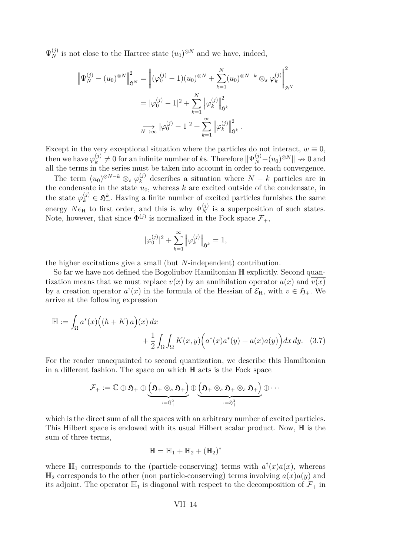$\Psi_N^{(j)}$  is not close to the Hartree state  $(u_0)^{\otimes N}$  and we have, indeed,

$$
\left\| \Psi_N^{(j)} - (u_0)^{\otimes N} \right\|_{\mathfrak{H}^N}^2 = \left\| (\varphi_0^{(j)} - 1)(u_0)^{\otimes N} + \sum_{k=1}^N (u_0)^{\otimes N - k} \otimes_s \varphi_k^{(j)} \right\|_{\mathfrak{H}^N}^2
$$
  
=  $|\varphi_0^{(j)} - 1|^2 + \sum_{k=1}^N \left\| \varphi_k^{(j)} \right\|_{\mathfrak{H}^k}^2$   

$$
\xrightarrow[N \to \infty]{} |\varphi_0^{(j)} - 1|^2 + \sum_{k=1}^\infty \left\| \varphi_k^{(j)} \right\|_{\mathfrak{H}^k}^2.
$$

Except in the very exceptional situation where the particles do not interact,  $w \equiv 0$ , then we have  $\varphi_k^{(j)}$  $h_k^{(j)} \neq 0$  for an infinite number of *k*s. Therefore  $\|\Psi_N^{(j)} - (u_0)^{\otimes N}\| \to 0$  and all the terms in the series must be taken into account in order to reach convergence.

The term  $(u_0)^{\otimes N-k} \otimes_s \varphi_k^{(j)}$  describes a situation where  $N-k$  particles are in the condensate in the state  $u_0$ , whereas  $k$  are excited outside of the condensate, in the state  $\varphi_k^{(j)} \in \mathfrak{H}_+^k$ . Having a finite number of excited particles furnishes the same energy  $Ne_{\rm H}$  to first order, and this is why  $\Psi_N^{(j)}$  is a superposition of such states. Note, however, that since  $\Phi^{(j)}$  is normalized in the Fock space  $\mathcal{F}_+$ ,

$$
|\varphi_0^{(j)}|^2 + \sum_{k=1}^{\infty} \left\| \varphi_k^{(j)} \right\|_{\mathfrak{H}^k} = 1,
$$

the higher excitations give a small (but *N*-independent) contribution.

So far we have not defined the Bogoliubov Hamiltonian H explicitly. Second quantization means that we must replace  $v(x)$  by an annihilation operator  $a(x)$  and  $v(x)$ by a creation operator  $a^{\dagger}(x)$  in the formula of the Hessian of  $\mathcal{E}_{H}$ , with  $v \in \mathfrak{H}_{+}$ . We arrive at the following expression

$$
\mathbb{H} := \int_{\Omega} a^*(x) \Big( (h+K) a \Big) (x) dx
$$
  
+ 
$$
\frac{1}{2} \int_{\Omega} \int_{\Omega} K(x,y) \Big( a^*(x) a^*(y) + a(x) a(y) \Big) dx dy. \quad (3.7)
$$

For the reader unacquainted to second quantization, we describe this Hamiltonian in a different fashion. The space on which H acts is the Fock space

$$
\mathcal{F}_+:=\mathbb{C}\oplus\mathfrak{H}_+\oplus\underbrace{\left(\mathfrak{H}_+\otimes_s\mathfrak{H}_+\right)}_{:=\mathfrak{H}_+^2}\oplus\underbrace{\left(\mathfrak{H}_+\otimes_s\mathfrak{H}_+\otimes_s\mathfrak{H}_+\right)}_{:=\mathfrak{H}_+^3}\oplus\cdots
$$

which is the direct sum of all the spaces with an arbitrary number of excited particles. This Hilbert space is endowed with its usual Hilbert scalar product. Now, H is the sum of three terms,

$$
\mathbb{H}=\mathbb{H}_1+\mathbb{H}_2+(\mathbb{H}_2)^*
$$

where  $\mathbb{H}_1$  corresponds to the (particle-conserving) terms with  $a^{\dagger}(x)a(x)$ , whereas  $\mathbb{H}_2$  corresponds to the other (non particle-conserving) terms involving  $a(x)a(y)$  and its adjoint. The operator  $\mathbb{H}_1$  is diagonal with respect to the decomposition of  $\mathcal{F}_+$  in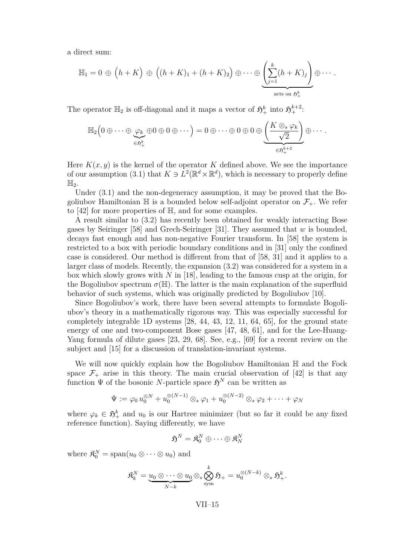a direct sum:

$$
\mathbb{H}_1 = 0 \, \oplus \, \left(h+K\right) \, \oplus \, \left((h+K)_1 + (h+K)_2\right) \oplus \cdots \oplus \underbrace{\left(\sum_{j=1}^k (h+K)_j\right)}_{\text{acts on } \mathfrak{H}^k_+} \oplus \cdots.
$$

The operator  $\mathbb{H}_2$  is off-diagonal and it maps a vector of  $\mathfrak{H}^k_+$  into  $\mathfrak{H}^{k+2}_+$ :

$$
\mathbb{H}_2\Big(0\oplus\cdots\oplus \underbrace{\varphi_k}_{\in \mathfrak{H}_+^k} \oplus 0\oplus 0\oplus\cdots\Big)=0\oplus\cdots\oplus 0\oplus 0\oplus \underbrace{\left(\frac{K\otimes_s\varphi_k}{\sqrt{2}}\right)}_{\in \mathfrak{H}_+^{k+2}}\oplus\cdots.
$$

Here  $K(x, y)$  is the kernel of the operator K defined above. We see the importance of our assumption [\(3.1\)](#page-12-0) that  $K \ni L^2(\mathbb{R}^d \times \mathbb{R}^d)$ , which is necessary to properly define  $\mathbb{H}_2$ .

Under [\(3.1\)](#page-12-0) and the non-degeneracy assumption, it may be proved that the Bogoliubov Hamiltonian  $\mathbb H$  is a bounded below self-adjoint operator on  $\mathcal F_+$ . We refer to  $[42]$  for more properties of  $\mathbb{H}$ , and for some examples.

A result similar to [\(3.2\)](#page-12-0) has recently been obtained for weakly interacting Bose gases by Seiringer [\[58\]](#page-20-0) and Grech-Seiringer [\[31\]](#page-19-0). They assumed that *w* is bounded, decays fast enough and has non-negative Fourier transform. In [\[58\]](#page-20-0) the system is restricted to a box with periodic boundary conditions and in [\[31\]](#page-19-0) only the confined case is considered. Our method is different from that of [\[58,](#page-20-0) [31\]](#page-19-0) and it applies to a larger class of models. Recently, the expansion [\(3.2\)](#page-12-0) was considered for a system in a box which slowly grows with *N* in [\[18\]](#page-18-0), leading to the famous cusp at the origin, for the Bogoliubov spectrum  $\sigma(\mathbb{H})$ . The latter is the main explanation of the superfluid behavior of such systems, which was originally predicted by Bogoliubov [\[10\]](#page-17-0).

Since Bogoliubov's work, there have been several attempts to formulate Bogoliubov's theory in a mathematically rigorous way. This was especially successful for completely integrable 1D systems [\[28,](#page-18-0) [44,](#page-19-0) [43,](#page-19-0) [12,](#page-17-0) [11,](#page-17-0) [64,](#page-21-0) [65\]](#page-21-0), for the ground state energy of one and two-component Bose gases [\[47,](#page-20-0) [48,](#page-20-0) [61\]](#page-20-0), and for the Lee-Huang-Yang formula of dilute gases [\[23,](#page-18-0) [29,](#page-18-0) [68\]](#page-21-0). See, e.g., [\[69\]](#page-21-0) for a recent review on the subject and [\[15\]](#page-18-0) for a discussion of translation-invariant systems.

We will now quickly explain how the Bogoliubov Hamiltonian  $\mathbb H$  and the Fock space  $\mathcal{F}_+$  arise in this theory. The main crucial observation of [\[42\]](#page-19-0) is that any function  $\Psi$  of the bosonic *N*-particle space  $\mathfrak{H}^N$  can be written as

$$
\Psi := \varphi_0 \, u_0^{\otimes N} + u_0^{\otimes (N-1)} \otimes_s \varphi_1 + u_0^{\otimes (N-2)} \otimes_s \varphi_2 + \cdots + \varphi_N
$$

where  $\varphi_k \in \mathfrak{H}^k_+$  and  $u_0$  is our Hartree minimizer (but so far it could be any fixed reference function). Saying differently, we have

$$
\mathfrak{H}^N = \mathfrak{K}^N_0 \oplus \cdots \oplus \mathfrak{K}^N_N
$$

where  $\mathfrak{K}_0^N = \text{span}(u_0 \otimes \cdots \otimes u_0)$  and

$$
\mathfrak{K}^N_k = \underbrace{u_0 \otimes \cdots \otimes u_0}_{N-k} \otimes_s \bigotimes_{\text{sym}}^k \mathfrak{H}_+ = u_0^{\otimes (N-k)} \otimes_s \mathfrak{H}^k_+.
$$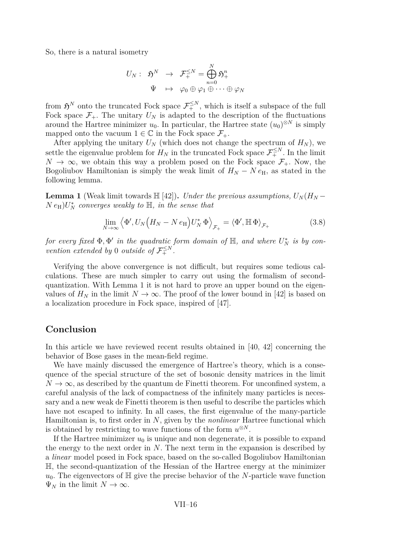<span id="page-16-0"></span>So, there is a natural isometry

$$
U_N: \begin{array}{rcl} \mathfrak{H}^N & \to & \mathcal{F}_+^{\leq N} = \bigoplus_{n=0}^N \mathfrak{H}^n_+ \\ \Psi & \mapsto & \varphi_0 \oplus \varphi_1 \oplus \cdots \oplus \varphi_N \end{array}
$$

from  $\mathfrak{H}^N$  onto the truncated Fock space  $\mathcal{F}_{+}^{\leq N}$ , which is itself a subspace of the full Fock space  $\mathcal{F}_+$ . The unitary  $U_N$  is adapted to the description of the fluctuations around the Hartree minimizer  $u_0$ . In particular, the Hartree state  $(u_0)^{\otimes N}$  is simply mapped onto the vacuum  $1 \in \mathbb{C}$  in the Fock space  $\mathcal{F}_+$ .

After applying the unitary  $U_N$  (which does not change the spectrum of  $H_N$ ), we settle the eigenvalue problem for  $H_N$  in the truncated Fock space  $\mathcal{F}_{+}^{\leq N}$ . In the limit  $N \to \infty$ , we obtain this way a problem posed on the Fock space  $\mathcal{F}_+$ . Now, the Bogoliubov Hamiltonian is simply the weak limit of  $H_N - N e_H$ , as stated in the following lemma.

**Lemma 1** (Weak limit towards  $\mathbb{H}$  [\[42\]](#page-19-0)). *Under the previous assumptions,*  $U_N(H_N N e_H$ ) $U_N^*$  *converges weakly to*  $\mathbb{H}$ *, in the sense that* 

$$
\lim_{N \to \infty} \left\langle \Phi', U_N \Big(H_N - N e_H \Big) U_N^* \, \Phi \right\rangle_{\mathcal{F}_+} = \left\langle \Phi', \mathbb{H} \, \Phi \right\rangle_{\mathcal{F}_+} \tag{3.8}
$$

*for every fixed*  $\Phi$ ,  $\Phi'$  *in the quadratic form domain of*  $\mathbb{H}$ *, and where*  $U_N^*$  *is by convention extended by* 0 *outside of*  $\mathcal{F}_+^{\leq N}$ .

Verifying the above convergence is not difficult, but requires some tedious calculations. These are much simpler to carry out using the formalism of secondquantization. With Lemma 1 it is not hard to prove an upper bound on the eigenvalues of  $H_N$  in the limit  $N \to \infty$ . The proof of the lower bound in [\[42\]](#page-19-0) is based on a localization procedure in Fock space, inspired of [\[47\]](#page-20-0).

#### **Conclusion**

In this article we have reviewed recent results obtained in [\[40,](#page-19-0) [42\]](#page-19-0) concerning the behavior of Bose gases in the mean-field regime.

We have mainly discussed the emergence of Hartree's theory, which is a consequence of the special structure of the set of bosonic density matrices in the limit  $N \to \infty$ , as described by the quantum de Finetti theorem. For unconfined system, a careful analysis of the lack of compactness of the infinitely many particles is necessary and a new weak de Finetti theorem is then useful to describe the particles which have not escaped to infinity. In all cases, the first eigenvalue of the many-particle Hamiltonian is, to first order in *N*, given by the *nonlinear* Hartree functional which is obtained by restricting to wave functions of the form  $u^{\otimes N}$ .

If the Hartree minimizer  $u_0$  is unique and non degenerate, it is possible to expand the energy to the next order in *N*. The next term in the expansion is described by a *linear* model posed in Fock space, based on the so-called Bogoliubov Hamiltonian H, the second-quantization of the Hessian of the Hartree energy at the minimizer  $u_0$ . The eigenvectors of  $\mathbb H$  give the precise behavior of the *N*-particle wave function  $\Psi_N$  in the limit  $N \to \infty$ .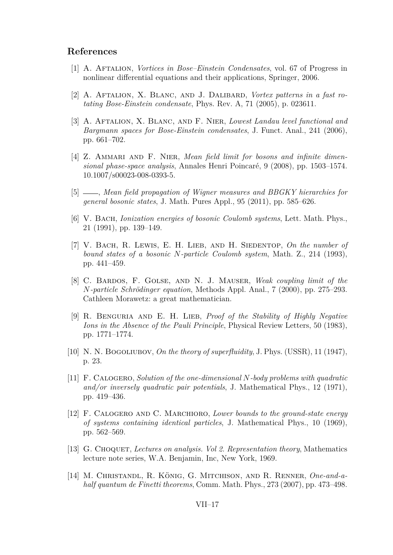#### <span id="page-17-0"></span>**References**

- [1] A. Aftalion, *Vortices in Bose–Einstein Condensates*, vol. 67 of Progress in nonlinear differential equations and their applications, Springer, 2006.
- [2] A. Aftalion, X. Blanc, and J. Dalibard, *Vortex patterns in a fast rotating Bose-Einstein condensate*, Phys. Rev. A, 71 (2005), p. 023611.
- [3] A. Aftalion, X. Blanc, and F. Nier, *Lowest Landau level functional and Bargmann spaces for Bose-Einstein condensates*, J. Funct. Anal., 241 (2006), pp. 661–702.
- [4] Z. AMMARI AND F. NIER, *Mean field limit for bosons and infinite dimensional phase-space analysis*, Annales Henri Poincaré, 9 (2008), pp. 1503–1574. 10.1007/s00023-008-0393-5.
- [5] , *Mean field propagation of Wigner measures and BBGKY hierarchies for general bosonic states*, J. Math. Pures Appl., 95 (2011), pp. 585–626.
- [6] V. Bach, *Ionization energies of bosonic Coulomb systems*, Lett. Math. Phys., 21 (1991), pp. 139–149.
- [7] V. Bach, R. Lewis, E. H. Lieb, and H. Siedentop, *On the number of bound states of a bosonic N-particle Coulomb system*, Math. Z., 214 (1993), pp. 441–459.
- [8] C. Bardos, F. Golse, and N. J. Mauser, *Weak coupling limit of the N-particle Schrödinger equation*, Methods Appl. Anal., 7 (2000), pp. 275–293. Cathleen Morawetz: a great mathematician.
- [9] R. Benguria and E. H. Lieb, *Proof of the Stability of Highly Negative Ions in the Absence of the Pauli Principle*, Physical Review Letters, 50 (1983), pp. 1771–1774.
- [10] N. N. Bogoliubov, *On the theory of superfluidity*, J. Phys. (USSR), 11 (1947), p. 23.
- [11] F. Calogero, *Solution of the one-dimensional N-body problems with quadratic and/or inversely quadratic pair potentials*, J. Mathematical Phys., 12 (1971), pp. 419–436.
- [12] F. Calogero and C. Marchioro, *Lower bounds to the ground-state energy of systems containing identical particles*, J. Mathematical Phys., 10 (1969), pp. 562–569.
- [13] G. Choquet, *Lectures on analysis. Vol 2. Representation theory*, Mathematics lecture note series, W.A. Benjamin, Inc, New York, 1969.
- [14] M. Christandl, R. König, G. Mitchison, and R. Renner, *One-and-ahalf quantum de Finetti theorems*, Comm. Math. Phys., 273 (2007), pp. 473–498.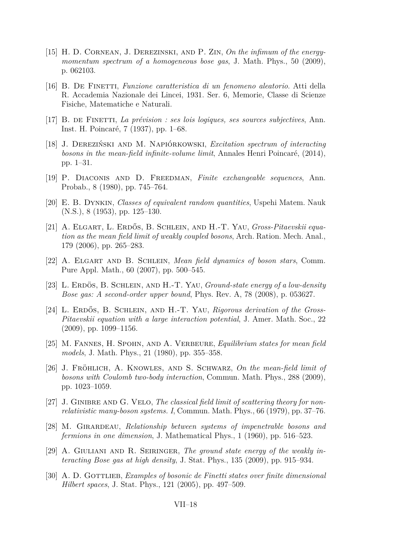- <span id="page-18-0"></span>[15] H. D. Cornean, J. Derezinski, and P. Zin, *On the infimum of the energymomentum spectrum of a homogeneous bose gas*, J. Math. Phys., 50 (2009), p. 062103.
- [16] B. De Finetti, *Funzione caratteristica di un fenomeno aleatorio*. Atti della R. Accademia Nazionale dei Lincei, 1931. Ser. 6, Memorie, Classe di Scienze Fisiche, Matematiche e Naturali.
- [17] B. de Finetti, *La prévision : ses lois logiques, ses sources subjectives*, Ann. Inst. H. Poincaré, 7 (1937), pp. 1–68.
- [18] J. Dereziński and M. Napiórkowski, *Excitation spectrum of interacting bosons in the mean-field infinite-volume limit*, Annales Henri Poincaré, (2014), pp. 1–31.
- [19] P. Diaconis and D. Freedman, *Finite exchangeable sequences*, Ann. Probab., 8 (1980), pp. 745–764.
- [20] E. B. Dynkin, *Classes of equivalent random quantities*, Uspehi Matem. Nauk (N.S.), 8 (1953), pp. 125–130.
- [21] A. Elgart, L. Erdős, B. Schlein, and H.-T. Yau, *Gross-Pitaevskii equation as the mean field limit of weakly coupled bosons*, Arch. Ration. Mech. Anal., 179 (2006), pp. 265–283.
- [22] A. Elgart and B. Schlein, *Mean field dynamics of boson stars*, Comm. Pure Appl. Math., 60 (2007), pp. 500–545.
- [23] L. Erdös, B. Schlein, and H.-T. Yau, *Ground-state energy of a low-density Bose gas: A second-order upper bound*, Phys. Rev. A, 78 (2008), p. 053627.
- [24] L. ERDŐS, B. SCHLEIN, AND H.-T. YAU, *Rigorous derivation of the Gross-Pitaevskii equation with a large interaction potential*, J. Amer. Math. Soc., 22 (2009), pp. 1099–1156.
- [25] M. Fannes, H. Spohn, and A. Verbeure, *Equilibrium states for mean field models*, J. Math. Phys., 21 (1980), pp. 355–358.
- [26] J. Fröhlich, A. Knowles, and S. Schwarz, *On the mean-field limit of bosons with Coulomb two-body interaction*, Commun. Math. Phys., 288 (2009), pp. 1023–1059.
- [27] J. Ginibre and G. Velo, *The classical field limit of scattering theory for nonrelativistic many-boson systems. I*, Commun. Math. Phys., 66 (1979), pp. 37–76.
- [28] M. Girardeau, *Relationship between systems of impenetrable bosons and fermions in one dimension*, J. Mathematical Phys., 1 (1960), pp. 516–523.
- [29] A. Giuliani and R. Seiringer, *The ground state energy of the weakly interacting Bose gas at high density*, J. Stat. Phys., 135 (2009), pp. 915–934.
- [30] A. D. GOTTLIEB, *Examples of bosonic de Finetti states over finite dimensional Hilbert spaces*, J. Stat. Phys., 121 (2005), pp. 497–509.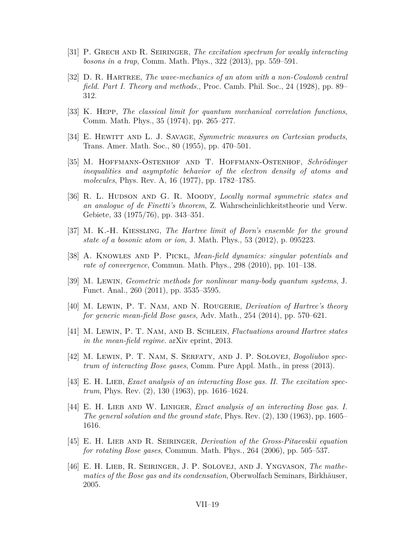- <span id="page-19-0"></span>[31] P. Grech and R. Seiringer, *The excitation spectrum for weakly interacting bosons in a trap*, Comm. Math. Phys., 322 (2013), pp. 559–591.
- [32] D. R. Hartree, *The wave-mechanics of an atom with a non-Coulomb central field. Part I. Theory and methods.*, Proc. Camb. Phil. Soc., 24 (1928), pp. 89– 312.
- [33] K. Hepp, *The classical limit for quantum mechanical correlation functions*, Comm. Math. Phys., 35 (1974), pp. 265–277.
- [34] E. Hewitt and L. J. Savage, *Symmetric measures on Cartesian products*, Trans. Amer. Math. Soc., 80 (1955), pp. 470–501.
- [35] M. Hoffmann-Ostenhof and T. Hoffmann-Ostenhof, *Schrödinger inequalities and asymptotic behavior of the electron density of atoms and molecules*, Phys. Rev. A, 16 (1977), pp. 1782–1785.
- [36] R. L. HUDSON AND G. R. MOODY, *Locally normal symmetric states and an analogue of de Finetti's theorem*, Z. Wahrscheinlichkeitstheorie und Verw. Gebiete, 33 (1975/76), pp. 343–351.
- [37] M. K.-H. Kiessling, *The Hartree limit of Born's ensemble for the ground state of a bosonic atom or ion*, J. Math. Phys., 53 (2012), p. 095223.
- [38] A. Knowles and P. Pickl, *Mean-field dynamics: singular potentials and rate of convergence*, Commun. Math. Phys., 298 (2010), pp. 101–138.
- [39] M. Lewin, *Geometric methods for nonlinear many-body quantum systems*, J. Funct. Anal., 260 (2011), pp. 3535–3595.
- [40] M. Lewin, P. T. Nam, and N. Rougerie, *Derivation of Hartree's theory for generic mean-field Bose gases*, Adv. Math., 254 (2014), pp. 570–621.
- [41] M. Lewin, P. T. Nam, and B. Schlein, *Fluctuations around Hartree states in the mean-field regime*. arXiv eprint, 2013.
- [42] M. Lewin, P. T. Nam, S. Serfaty, and J. P. Solovej, *Bogoliubov spectrum of interacting Bose gases*, Comm. Pure Appl. Math., in press (2013).
- [43] E. H. LIEB, *Exact analysis of an interacting Bose gas. II. The excitation spectrum*, Phys. Rev. (2), 130 (1963), pp. 1616–1624.
- [44] E. H. LIEB AND W. LINIGER, *Exact analysis of an interacting Bose gas. I. The general solution and the ground state*, Phys. Rev. (2), 130 (1963), pp. 1605– 1616.
- [45] E. H. Lieb and R. Seiringer, *Derivation of the Gross-Pitaevskii equation for rotating Bose gases*, Commun. Math. Phys., 264 (2006), pp. 505–537.
- [46] E. H. LIEB, R. SEIRINGER, J. P. SOLOVEJ, AND J. YNGVASON, *The mathematics of the Bose gas and its condensation*, Oberwolfach Seminars, Birkhäuser, 2005.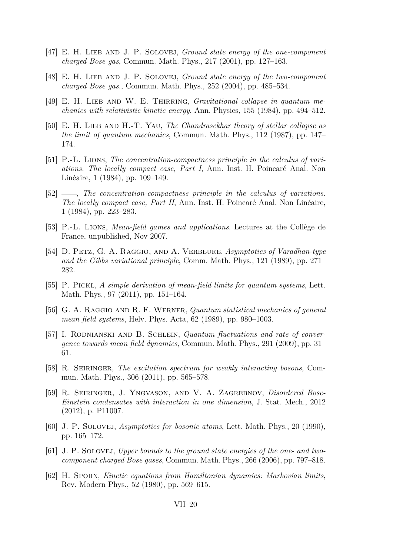- <span id="page-20-0"></span>[47] E. H. Lieb and J. P. Solovej, *Ground state energy of the one-component charged Bose gas*, Commun. Math. Phys., 217 (2001), pp. 127–163.
- [48] E. H. LIEB AND J. P. SOLOVEJ, *Ground state energy of the two-component charged Bose gas.*, Commun. Math. Phys., 252 (2004), pp. 485–534.
- [49] E. H. LIEB AND W. E. THIRRING, *Gravitational collapse in quantum mechanics with relativistic kinetic energy*, Ann. Physics, 155 (1984), pp. 494–512.
- [50] E. H. Lieb and H.-T. Yau, *The Chandrasekhar theory of stellar collapse as the limit of quantum mechanics*, Commun. Math. Phys., 112 (1987), pp. 147– 174.
- [51] P.-L. Lions, *The concentration-compactness principle in the calculus of variations. The locally compact case, Part I*, Ann. Inst. H. Poincaré Anal. Non Linéaire, 1 (1984), pp. 109–149.
- [52] , *The concentration-compactness principle in the calculus of variations. The locally compact case, Part II*, Ann. Inst. H. Poincaré Anal. Non Linéaire, 1 (1984), pp. 223–283.
- [53] P.-L. Lions, *Mean-field games and applications*. Lectures at the Collège de France, unpublished, Nov 2007.
- [54] D. Petz, G. A. Raggio, and A. Verbeure, *Asymptotics of Varadhan-type and the Gibbs variational principle*, Comm. Math. Phys., 121 (1989), pp. 271– 282.
- [55] P. Pickl, *A simple derivation of mean-field limits for quantum systems*, Lett. Math. Phys., 97 (2011), pp. 151–164.
- [56] G. A. Raggio and R. F. Werner, *Quantum statistical mechanics of general mean field systems*, Helv. Phys. Acta, 62 (1989), pp. 980–1003.
- [57] I. RODNIANSKI AND B. SCHLEIN, *Quantum fluctuations and rate of convergence towards mean field dynamics*, Commun. Math. Phys., 291 (2009), pp. 31– 61.
- [58] R. Seiringer, *The excitation spectrum for weakly interacting bosons*, Commun. Math. Phys., 306 (2011), pp. 565–578.
- [59] R. Seiringer, J. Yngvason, and V. A. Zagrebnov, *Disordered Bose-Einstein condensates with interaction in one dimension*, J. Stat. Mech., 2012 (2012), p. P11007.
- [60] J. P. Solovej, *Asymptotics for bosonic atoms*, Lett. Math. Phys., 20 (1990), pp. 165–172.
- [61] J. P. SOLOVEJ, *Upper bounds to the ground state energies of the one- and twocomponent charged Bose gases*, Commun. Math. Phys., 266 (2006), pp. 797–818.
- [62] H. Spohn, *Kinetic equations from Hamiltonian dynamics: Markovian limits*, Rev. Modern Phys., 52 (1980), pp. 569–615.